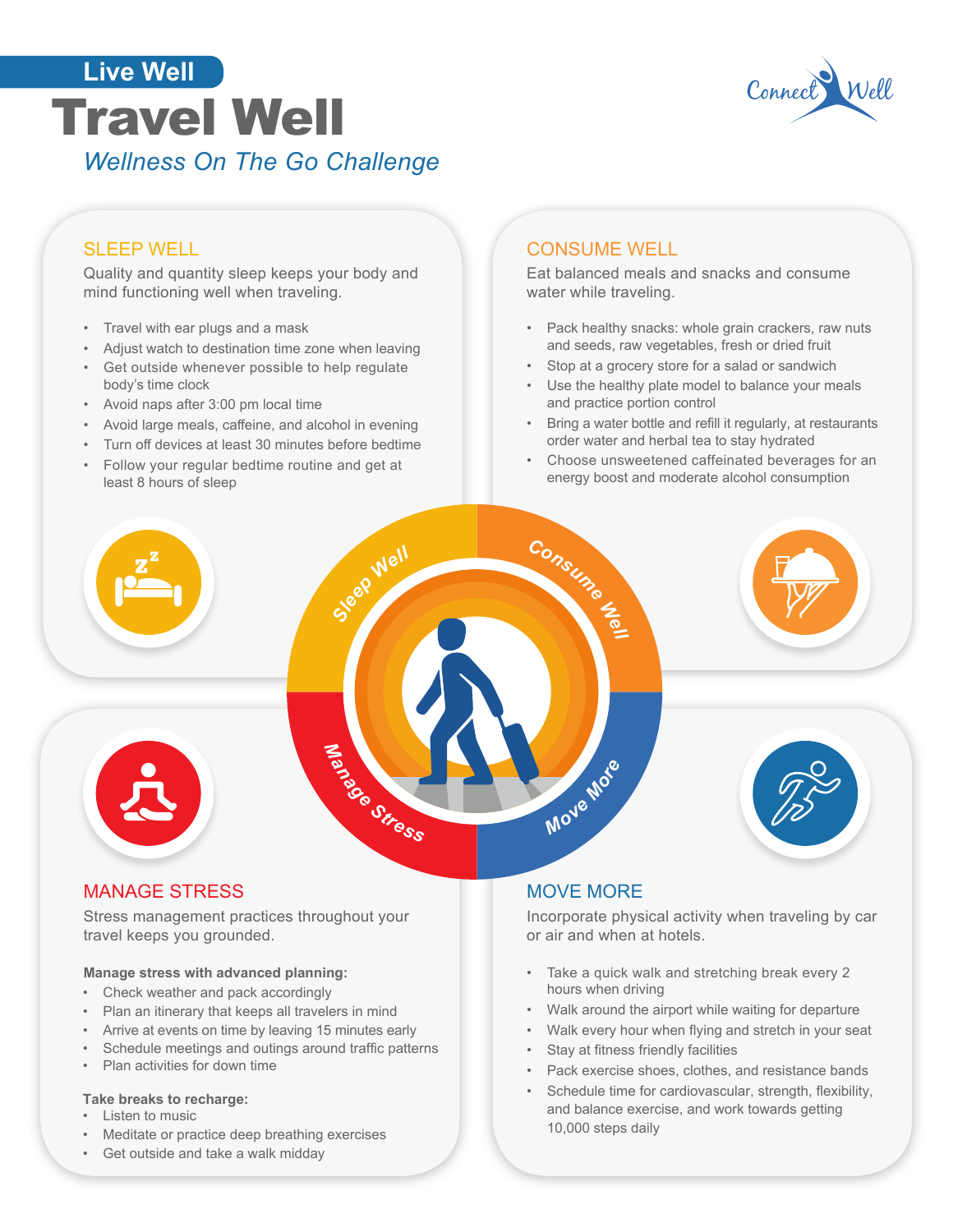



# SLEEP WELL

Quality and quantity sleep keeps your body and mind functioning well when traveling.

- Travel with ear plugs and a mask
- Adjust watch to destination time zone when leaving
- Get outside whenever possible to help regulate body's time clock
- Avoid naps after 3:00 pm local time
- Avoid large meals, caffeine, and alcohol in evening
- Turn off devices at least 30 minutes before bedtime
- Follow your regular bedtime routine and get at least 8 hours of sleep

### CONSUME WELL

Eat balanced meals and snacks and consume water while traveling.

- Pack healthy snacks: whole grain crackers, raw nuts and seeds, raw vegetables, fresh or dried fruit
- Stop at a grocery store for a salad or sandwich
- Use the healthy plate model to balance your meals and practice portion control
- Bring a water bottle and refill it regularly, at restaurants order water and herbal tea to stay hydrated
- Choose unsweetened caffeinated beverages for an energy boost and moderate alcohol consumption



## MANAGE STRESS

Stress management practices throughout your travel keeps you grounded.

#### **Manage stress with advanced planning:**

- Check weather and pack accordingly
- Plan an itinerary that keeps all travelers in mind
- Arrive at events on time by leaving 15 minutes early
- Schedule meetings and outings around traffic patterns
- Plan activities for down time

#### **Take breaks to recharge:**

- Listen to music
- Meditate or practice deep breathing exercises
- Get outside and take a walk midday

#### MOVE MORE

Incorporate physical activity when traveling by car or air and when at hotels.

- Take a quick walk and stretching break every 2 hours when driving
- Walk around the airport while waiting for departure
- Walk every hour when flying and stretch in your seat
- Stay at fitness friendly facilities
- Pack exercise shoes, clothes, and resistance bands
- Schedule time for cardiovascular, strength, flexibility, and balance exercise, and work towards getting 10,000 steps daily